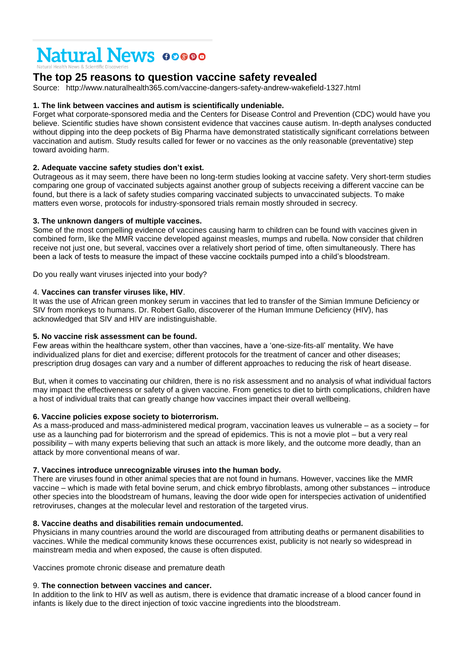# **Natural News 00000**

# **The top 25 reasons to question vaccine safety revealed**

Source: http://www.naturalhealth365.com/vaccine-dangers-safety-andrew-wakefield-1327.html

# **1. The link between vaccines and autism is scientifically undeniable.**

Forget what corporate-sponsored media and the Centers for Disease Control and Prevention (CDC) would have you believe. Scientific studies have shown consistent evidence that vaccines cause autism. In-depth analyses conducted without dipping into the deep pockets of Big Pharma have demonstrated statistically significant correlations between vaccination and autism. Study results called for fewer or no vaccines as the only reasonable (preventative) step toward avoiding harm.

# **2. Adequate vaccine safety studies don't exist.**

Outrageous as it may seem, there have been no long-term studies looking at vaccine safety. Very short-term studies comparing one group of vaccinated subjects against another group of subjects receiving a different vaccine can be found, but there is a lack of safety studies comparing vaccinated subjects to unvaccinated subjects. To make matters even worse, protocols for industry-sponsored trials remain mostly shrouded in secrecy.

# **3. The unknown dangers of multiple vaccines.**

Some of the most compelling evidence of vaccines causing harm to children can be found with vaccines given in combined form, like the MMR vaccine developed against measles, mumps and rubella. Now consider that children receive not just one, but several, vaccines over a relatively short period of time, often simultaneously. There has been a lack of tests to measure the impact of these vaccine cocktails pumped into a child's bloodstream.

Do you really want viruses injected into your body?

# 4. **Vaccines can transfer viruses like, HIV**.

It was the use of African green monkey serum in vaccines that led to transfer of the Simian Immune Deficiency or SIV from monkeys to humans. Dr. Robert Gallo, discoverer of the Human Immune Deficiency (HIV), has acknowledged that SIV and HIV are indistinguishable.

# **5. No vaccine risk assessment can be found.**

Few areas within the healthcare system, other than vaccines, have a 'one-size-fits-all' mentality. We have individualized plans for diet and exercise; different protocols for the treatment of cancer and other diseases; prescription drug dosages can vary and a number of different approaches to reducing the risk of heart disease.

But, when it comes to vaccinating our children, there is no risk assessment and no analysis of what individual factors may impact the effectiveness or safety of a given vaccine. From genetics to diet to birth complications, children have a host of individual traits that can greatly change how vaccines impact their overall wellbeing.

# **6. Vaccine policies expose society to bioterrorism.**

As a mass-produced and mass-administered medical program, vaccination leaves us vulnerable – as a society – for use as a launching pad for bioterrorism and the spread of epidemics. This is not a movie plot – but a very real possibility – with many experts believing that such an attack is more likely, and the outcome more deadly, than an attack by more conventional means of war.

# **7. Vaccines introduce unrecognizable viruses into the human body.**

There are viruses found in other animal species that are not found in humans. However, vaccines like the MMR vaccine – which is made with fetal bovine serum, and chick embryo fibroblasts, among other substances – introduce other species into the bloodstream of humans, leaving the door wide open for interspecies activation of unidentified retroviruses, changes at the molecular level and restoration of the targeted virus.

# **8. Vaccine deaths and disabilities remain undocumented.**

Physicians in many countries around the world are discouraged from attributing deaths or permanent disabilities to vaccines. While the medical community knows these occurrences exist, publicity is not nearly so widespread in mainstream media and when exposed, the cause is often disputed.

Vaccines promote chronic disease and premature death

# 9. **The connection between vaccines and cancer.**

In addition to the link to HIV as well as autism, there is evidence that dramatic increase of a blood cancer found in infants is likely due to the direct injection of toxic vaccine ingredients into the bloodstream.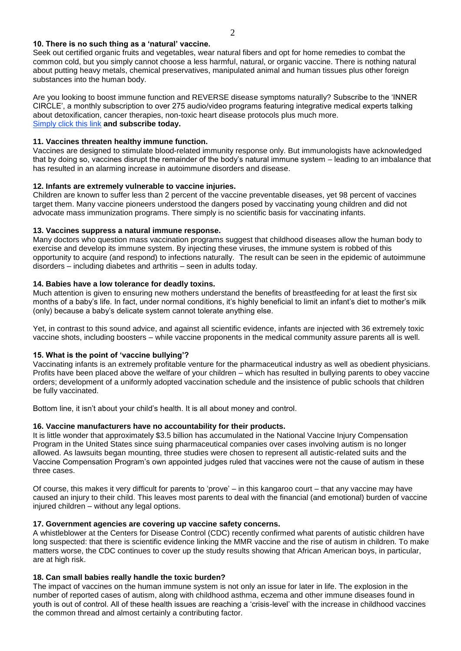#### **10. There is no such thing as a 'natural' vaccine.**

Seek out certified organic fruits and vegetables, wear natural fibers and opt for home remedies to combat the common cold, but you simply cannot choose a less harmful, natural, or organic vaccine. There is nothing natural about putting heavy metals, chemical preservatives, manipulated animal and human tissues plus other foreign substances into the human body.

Are you looking to boost immune function and REVERSE disease symptoms naturally? Subscribe to the 'INNER CIRCLE', a monthly subscription to over 275 audio/video programs featuring integrative medical experts talking about detoxification, cancer therapies, non-toxic heart disease protocols plus much more. [Simply click this](http://www.naturalnews.com/NaturalNewsInnerCircle.html#sthash.rNBKxkHm.dpuf) link **and subscribe today.**

# **11. Vaccines threaten healthy immune function.**

Vaccines are designed to stimulate blood-related immunity response only. But immunologists have acknowledged that by doing so, vaccines disrupt the remainder of the body's natural immune system – leading to an imbalance that has resulted in an alarming increase in autoimmune disorders and disease.

#### **12. Infants are extremely vulnerable to vaccine injuries.**

Children are known to suffer less than 2 percent of the vaccine preventable diseases, yet 98 percent of vaccines target them. Many vaccine pioneers understood the dangers posed by vaccinating young children and did not advocate mass immunization programs. There simply is no scientific basis for vaccinating infants.

#### **13. Vaccines suppress a natural immune response.**

Many doctors who question mass vaccination programs suggest that childhood diseases allow the human body to exercise and develop its immune system. By injecting these viruses, the immune system is robbed of this opportunity to acquire (and respond) to infections naturally. The result can be seen in the epidemic of autoimmune disorders – including diabetes and arthritis – seen in adults today.

#### **14. Babies have a low tolerance for deadly toxins.**

Much attention is given to ensuring new mothers understand the benefits of breastfeeding for at least the first six months of a baby's life. In fact, under normal conditions, it's highly beneficial to limit an infant's diet to mother's milk (only) because a baby's delicate system cannot tolerate anything else.

Yet, in contrast to this sound advice, and against all scientific evidence, infants are injected with 36 extremely toxic vaccine shots, including boosters – while vaccine proponents in the medical community assure parents all is well.

# **15. What is the point of 'vaccine bullying'?**

Vaccinating infants is an extremely profitable venture for the pharmaceutical industry as well as obedient physicians. Profits have been placed above the welfare of your children – which has resulted in bullying parents to obey vaccine orders; development of a uniformly adopted vaccination schedule and the insistence of public schools that children be fully vaccinated.

Bottom line, it isn't about your child's health. It is all about money and control.

# **16. Vaccine manufacturers have no accountability for their products.**

It is little wonder that approximately \$3.5 billion has accumulated in the National Vaccine Injury Compensation Program in the United States since suing pharmaceutical companies over cases involving autism is no longer allowed. As lawsuits began mounting, three studies were chosen to represent all autistic-related suits and the Vaccine Compensation Program's own appointed judges ruled that vaccines were not the cause of autism in these three cases.

Of course, this makes it very difficult for parents to 'prove' – in this kangaroo court – that any vaccine may have caused an injury to their child. This leaves most parents to deal with the financial (and emotional) burden of vaccine injured children – without any legal options.

# **17. Government agencies are covering up vaccine safety concerns.**

A whistleblower at the Centers for Disease Control (CDC) recently confirmed what parents of autistic children have long suspected: that there is scientific evidence linking the MMR vaccine and the rise of autism in children. To make matters worse, the CDC continues to cover up the study results showing that African American boys, in particular, are at high risk.

# **18. Can small babies really handle the toxic burden?**

The impact of vaccines on the human immune system is not only an issue for later in life. The explosion in the number of reported cases of autism, along with childhood asthma, eczema and other immune diseases found in youth is out of control. All of these health issues are reaching a 'crisis-level' with the increase in childhood vaccines the common thread and almost certainly a contributing factor.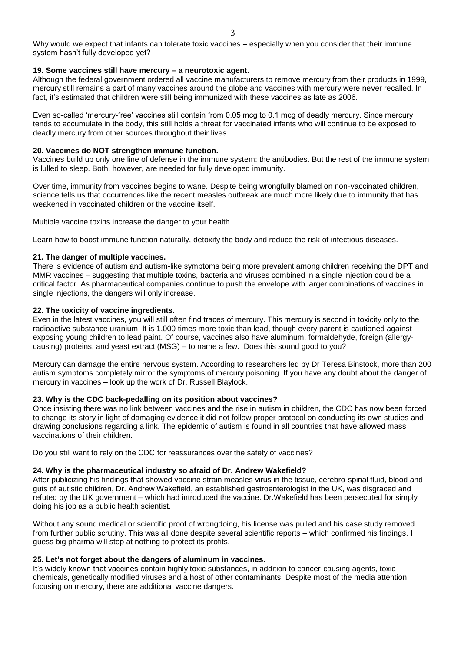Why would we expect that infants can tolerate toxic vaccines – especially when you consider that their immune system hasn't fully developed yet?

#### **19. Some vaccines still have mercury – a neurotoxic agent.**

Although the federal government ordered all vaccine manufacturers to remove mercury from their products in 1999, mercury still remains a part of many vaccines around the globe and vaccines with mercury were never recalled. In fact, it's estimated that children were still being immunized with these vaccines as late as 2006.

Even so-called 'mercury-free' vaccines still contain from 0.05 mcg to 0.1 mcg of deadly mercury. Since mercury tends to accumulate in the body, this still holds a threat for vaccinated infants who will continue to be exposed to deadly mercury from other sources throughout their lives.

#### **20. Vaccines do NOT strengthen immune function.**

Vaccines build up only one line of defense in the immune system: the antibodies. But the rest of the immune system is lulled to sleep. Both, however, are needed for fully developed immunity.

Over time, immunity from vaccines begins to wane. Despite being wrongfully blamed on non-vaccinated children, science tells us that occurrences like the recent measles outbreak are much more likely due to immunity that has weakened in vaccinated children or the vaccine itself.

Multiple vaccine toxins increase the danger to your health

Learn how to boost immune function naturally, detoxify the body and reduce the risk of infectious diseases.

#### **21. The danger of multiple vaccines.**

There is evidence of autism and autism-like symptoms being more prevalent among children receiving the DPT and MMR vaccines – suggesting that multiple toxins, bacteria and viruses combined in a single injection could be a critical factor. As pharmaceutical companies continue to push the envelope with larger combinations of vaccines in single injections, the dangers will only increase.

#### **22. The toxicity of vaccine ingredients.**

Even in the latest vaccines, you will still often find traces of mercury. This mercury is second in toxicity only to the radioactive substance uranium. It is 1,000 times more toxic than lead, though every parent is cautioned against exposing young children to lead paint. Of course, vaccines also have aluminum, formaldehyde, foreign (allergycausing) proteins, and yeast extract (MSG) – to name a few. Does this sound good to you?

Mercury can damage the entire nervous system. According to researchers led by Dr Teresa Binstock, more than 200 autism symptoms completely mirror the symptoms of mercury poisoning. If you have any doubt about the danger of mercury in vaccines – look up the work of Dr. Russell Blaylock.

#### **23. Why is the CDC back-pedalling on its position about vaccines?**

Once insisting there was no link between vaccines and the rise in autism in children, the CDC has now been forced to change its story in light of damaging evidence it did not follow proper protocol on conducting its own studies and drawing conclusions regarding a link. The epidemic of autism is found in all countries that have allowed mass vaccinations of their children.

Do you still want to rely on the CDC for reassurances over the safety of vaccines?

#### **24. Why is the pharmaceutical industry so afraid of Dr. Andrew Wakefield?**

After publicizing his findings that showed vaccine strain measles virus in the tissue, cerebro-spinal fluid, blood and guts of autistic children, Dr. Andrew Wakefield, an established gastroenterologist in the UK, was disgraced and refuted by the UK government – which had introduced the vaccine. Dr.Wakefield has been persecuted for simply doing his job as a public health scientist.

Without any sound medical or scientific proof of wrongdoing, his license was pulled and his case study removed from further public scrutiny. This was all done despite several scientific reports – which confirmed his findings. I guess big pharma will stop at nothing to protect its profits.

#### **25. Let's not forget about the dangers of aluminum in vaccines.**

It's widely known that vaccines contain highly toxic substances, in addition to cancer-causing agents, toxic chemicals, genetically modified viruses and a host of other contaminants. Despite most of the media attention focusing on mercury, there are additional vaccine dangers.